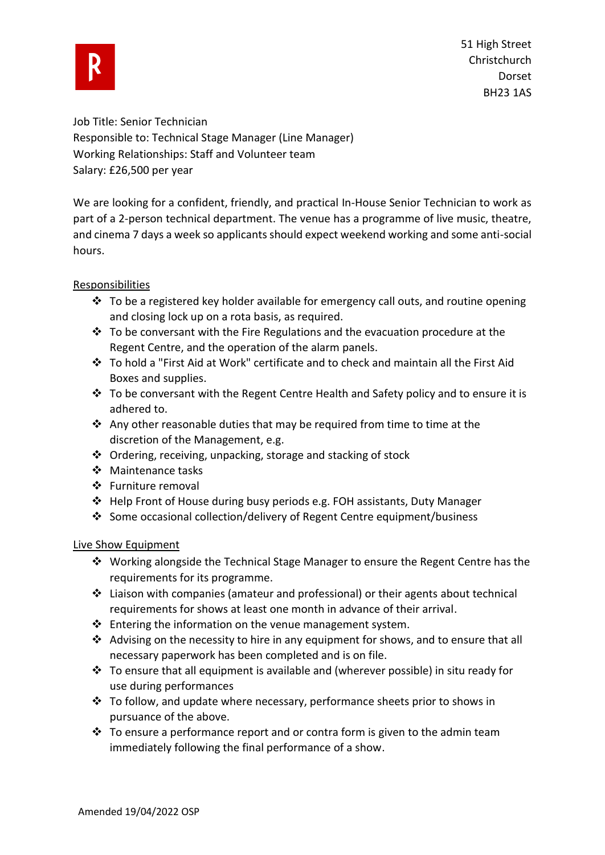

51 High Street **Christchurch** Dorset BH23 1AS

Job Title: Senior Technician Responsible to: Technical Stage Manager (Line Manager) Working Relationships: Staff and Volunteer team Salary: £26,500 per year

We are looking for a confident, friendly, and practical In-House Senior Technician to work as part of a 2-person technical department. The venue has a programme of live music, theatre, and cinema 7 days a week so applicants should expect weekend working and some anti-social hours.

### Responsibilities

- $\div$  To be a registered key holder available for emergency call outs, and routine opening and closing lock up on a rota basis, as required.
- ❖ To be conversant with the Fire Regulations and the evacuation procedure at the Regent Centre, and the operation of the alarm panels.
- ❖ To hold a "First Aid at Work" certificate and to check and maintain all the First Aid Boxes and supplies.
- ❖ To be conversant with the Regent Centre Health and Safety policy and to ensure it is adhered to.
- ◆ Any other reasonable duties that may be required from time to time at the discretion of the Management, e.g.
- ❖ Ordering, receiving, unpacking, storage and stacking of stock
- ❖ Maintenance tasks
- ❖ Furniture removal
- ❖ Help Front of House during busy periods e.g. FOH assistants, Duty Manager
- ❖ Some occasional collection/delivery of Regent Centre equipment/business

# Live Show Equipment

- ❖ Working alongside the Technical Stage Manager to ensure the Regent Centre has the requirements for its programme.
- $\div$  Liaison with companies (amateur and professional) or their agents about technical requirements for shows at least one month in advance of their arrival.
- $\cdot \cdot$  Entering the information on the venue management system.
- **❖** Advising on the necessity to hire in any equipment for shows, and to ensure that all necessary paperwork has been completed and is on file.
- $\dots$  To ensure that all equipment is available and (wherever possible) in situ ready for use during performances
- ❖ To follow, and update where necessary, performance sheets prior to shows in pursuance of the above.
- ◆ To ensure a performance report and or contra form is given to the admin team immediately following the final performance of a show.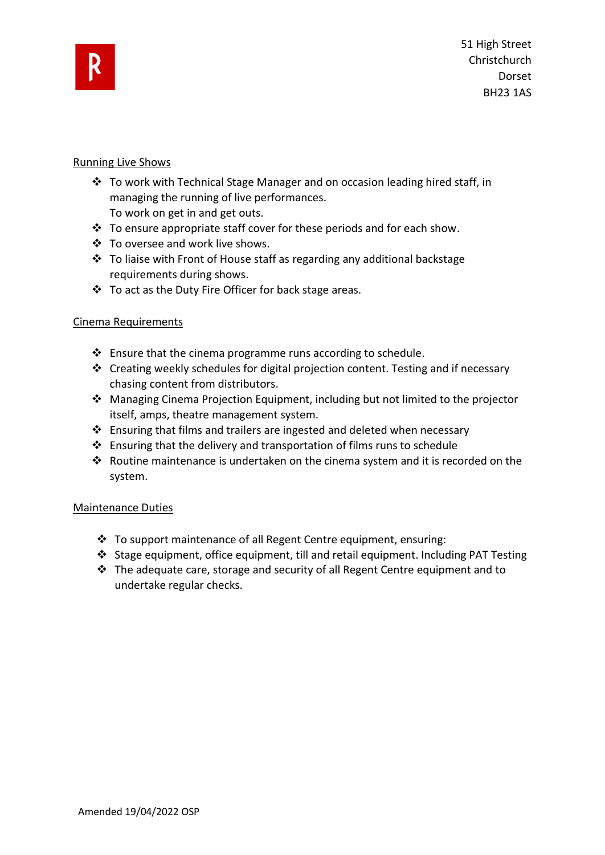

### Running Live Shows

- ❖ To work with Technical Stage Manager and on occasion leading hired staff, in managing the running of live performances.
	- To work on get in and get outs.
- ❖ To ensure appropriate staff cover for these periods and for each show.
- ❖ To oversee and work live shows.
- ❖ To liaise with Front of House staff as regarding any additional backstage requirements during shows.
- ❖ To act as the Duty Fire Officer for back stage areas.

# Cinema Requirements

- $\cdot$  Ensure that the cinema programme runs according to schedule.
- ❖ Creating weekly schedules for digital projection content. Testing and if necessary chasing content from distributors.
- ❖ Managing Cinema Projection Equipment, including but not limited to the projector itself, amps, theatre management system.
- ❖ Ensuring that films and trailers are ingested and deleted when necessary
- ❖ Ensuring that the delivery and transportation of films runs to schedule
- ❖ Routine maintenance is undertaken on the cinema system and it is recorded on the system.

# Maintenance Duties

- ❖ To support maintenance of all Regent Centre equipment, ensuring:
- ❖ Stage equipment, office equipment, till and retail equipment. Including PAT Testing
- ❖ The adequate care, storage and security of all Regent Centre equipment and to undertake regular checks.